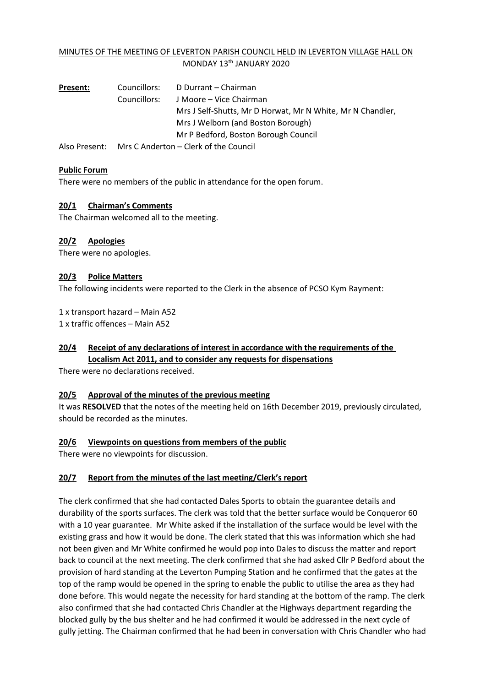## MINUTES OF THE MEETING OF LEVERTON PARISH COUNCIL HELD IN LEVERTON VILLAGE HALL ON MONDAY 13<sup>th</sup> JANUARY 2020

| <b>Present:</b> | Councillors: | D Durrant – Chairman                                       |
|-----------------|--------------|------------------------------------------------------------|
|                 | Councillors: | J Moore – Vice Chairman                                    |
|                 |              | Mrs J Self-Shutts, Mr D Horwat, Mr N White, Mr N Chandler, |
|                 |              | Mrs J Welborn (and Boston Borough)                         |
|                 |              | Mr P Bedford, Boston Borough Council                       |
|                 |              |                                                            |

Also Present: Mrs C Anderton – Clerk of the Council

### **Public Forum**

There were no members of the public in attendance for the open forum.

### **20/1 Chairman's Comments**

The Chairman welcomed all to the meeting.

### **20/2 Apologies**

There were no apologies.

### **20/3 Police Matters**

The following incidents were reported to the Clerk in the absence of PCSO Kym Rayment:

1 x transport hazard – Main A52 1 x traffic offences – Main A52

## **20/4 Receipt of any declarations of interest in accordance with the requirements of the Localism Act 2011, and to consider any requests for dispensations**

There were no declarations received.

#### **20/5 Approval of the minutes of the previous meeting**

It was **RESOLVED** that the notes of the meeting held on 16th December 2019, previously circulated, should be recorded as the minutes.

### **20/6 Viewpoints on questions from members of the public**

There were no viewpoints for discussion.

### **20/7 Report from the minutes of the last meeting/Clerk's report**

The clerk confirmed that she had contacted Dales Sports to obtain the guarantee details and durability of the sports surfaces. The clerk was told that the better surface would be Conqueror 60 with a 10 year guarantee. Mr White asked if the installation of the surface would be level with the existing grass and how it would be done. The clerk stated that this was information which she had not been given and Mr White confirmed he would pop into Dales to discuss the matter and report back to council at the next meeting. The clerk confirmed that she had asked Cllr P Bedford about the provision of hard standing at the Leverton Pumping Station and he confirmed that the gates at the top of the ramp would be opened in the spring to enable the public to utilise the area as they had done before. This would negate the necessity for hard standing at the bottom of the ramp. The clerk also confirmed that she had contacted Chris Chandler at the Highways department regarding the blocked gully by the bus shelter and he had confirmed it would be addressed in the next cycle of gully jetting. The Chairman confirmed that he had been in conversation with Chris Chandler who had